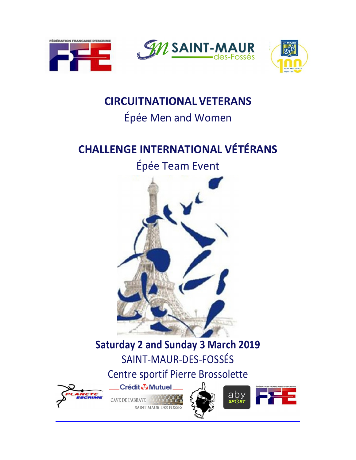

## **CIRCUIT NATIONAL VETERANS**

# Épée Men and Women

# **CHALLENGE INTERNATIONAL VÉTÉRANS**

# Épée Team Event



# **Saturday 2 and Sunday 3 March 2019** SAINT-MAUR-DES-FOSSÉS

# Centre sportif Pierre Brossolette



Crédit & Mutuel.

CAVE DE L'ABBAYE



 $\overline{\text{SP}}$ ៌ក

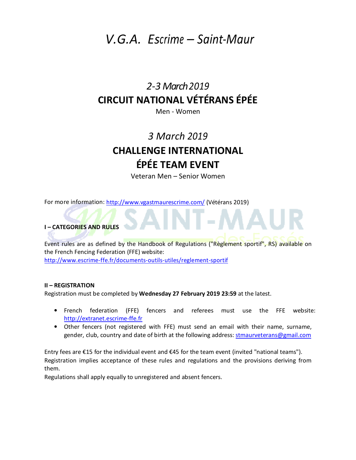## *V.G.A. Escrime – Saint-Maur*

## *2-3 March 2019* **CIRCUIT NATIONAL VÉTÉRANS ÉPÉE**

Men - Women

## *3 March 2019* **CHALLENGE INTERNATIONAL ÉPÉE TEAM EVENT**

Veteran Men – Senior Women

For more information: http://www.vgastmaurescrime.com/ (Vétérans 2019)

### **I – CATEGORIES AND RULES**

Event rules are as defined by the Handbook of Regulations ("Règlement sportif", RS) available on the French Fencing Federation (FFE) website: http://www.escrime-ffe.fr/documents-outils-utiles/reglement-sportif

#### **II – REGISTRATION**

Registration must be completed by **Wednesday 27 February 2019 23:59** at the latest.

- French federation (FFE) fencers and referees must use the FFE website: http://extranet.escrime-ffe.fr
- Other fencers (not registered with FFE) must send an email with their name, surname, gender, club, country and date of birth at the following address: stmaurveterans@gmail.com

Entry fees are €15 for the individual event and €45 for the team event (invited "national teams"). Registration implies acceptance of these rules and regulations and the provisions deriving from them.

Regulations shall apply equally to unregistered and absent fencers.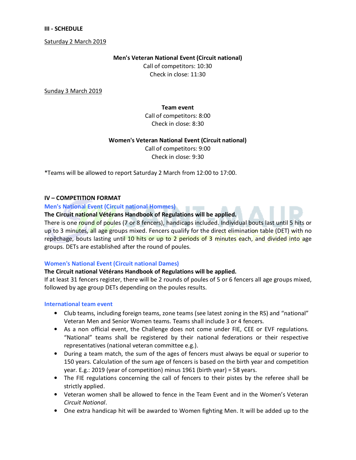#### **III - SCHEDULE**

Saturday 2 March 2019

#### **Men's Veteran National Event (Circuit national)**

Call of competitors: 10:30 Check in close: 11:30

Sunday 3 March 2019

**Team event** 

Call of competitors: 8:00 Check in close: 8:30

#### **Women's Veteran National Event (Circuit national)**

Call of competitors: 9:00 Check in close: 9:30

\*Teams will be allowed to report Saturday 2 March from 12:00 to 17:00.

### **IV – COMPETITION FORMAT**

#### **Men's National Event (Circuit national Hommes)**

**The Circuit national Vétérans Handbook of Regulations will be applied.** 

There is one round of poules (7 or 8 fencers), handicaps included. Individual bouts last until 5 hits or up to 3 minutes, all age groups mixed. Fencers qualify for the direct elimination table (DET) with no repêchage, bouts lasting until 10 hits or up to 2 periods of 3 minutes each, and divided into age groups. DETs are established after the round of poules.

#### **Women's National Event (Circuit national Dames)**

#### **The Circuit national Vétérans Handbook of Regulations will be applied.**

If at least 31 fencers register, there will be 2 rounds of poules of 5 or 6 fencers all age groups mixed, followed by age group DETs depending on the poules results.

#### **International team event**

- Club teams, including foreign teams, zone teams (see latest zoning in the RS) and "national" Veteran Men and Senior Women teams. Teams shall include 3 or 4 fencers.
- As a non official event, the Challenge does not come under FIE, CEE or EVF regulations. "National" teams shall be registered by their national federations or their respective representatives (national veteran committee e.g.).
- During a team match, the sum of the ages of fencers must always be equal or superior to 150 years. Calculation of the sum age of fencers is based on the birth year and competition year. E.g.: 2019 (year of competition) minus 1961 (birth year) = 58 years.
- The FIE regulations concerning the call of fencers to their pistes by the referee shall be strictly applied.
- Veteran women shall be allowed to fence in the Team Event and in the Women's Veteran *Circuit National*.
- One extra handicap hit will be awarded to Women fighting Men. It will be added up to the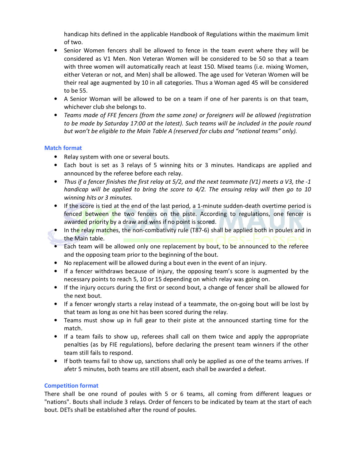handicap hits defined in the applicable Handbook of Regulations within the maximum limit of two.

- Senior Women fencers shall be allowed to fence in the team event where they will be considered as V1 Men. Non Veteran Women will be considered to be 50 so that a team with three women will automatically reach at least 150. Mixed teams (i.e. mixing Women, either Veteran or not, and Men) shall be allowed. The age used for Veteran Women will be their real age augmented by 10 in all categories. Thus a Woman aged 45 will be considered to be 55.
- A Senior Woman will be allowed to be on a team if one of her parents is on that team, whichever club she belongs to.
- *Teams made of FFE fencers (from the same zone) or foreigners will be allowed (registration to be made by Saturday 17:00 at the latest). Such teams will be included in the poule round but won't be eligible to the Main Table A (reserved for clubs and "national teams" only).*

### **Match format**

- Relay system with one or several bouts.
- Each bout is set as 3 relays of 5 winning hits or 3 minutes. Handicaps are applied and announced by the referee before each relay.
- *Thus if a fencer finishes the first relay at 5/2, and the next teammate (V1) meets a V3, the -1 handicap will be applied to bring the score to 4/2. The ensuing relay will then go to 10 winning hits or 3 minutes.*
- If the score is tied at the end of the last period, a 1-minute sudden-death overtime period is fenced between the two fencers on the piste. According to regulations, one fencer is awarded priority by a draw and wins if no point is scored.
- In the relay matches, the non-combativity rule (T87-6) shall be applied both in poules and in the Main table.
- Each team will be allowed only one replacement by bout, to be announced to the referee and the opposing team prior to the beginning of the bout.
- No replacement will be allowed during a bout even in the event of an injury.
- If a fencer withdraws because of injury, the opposing team's score is augmented by the necessary points to reach 5, 10 or 15 depending on which relay was going on.
- If the injury occurs during the first or second bout, a change of fencer shall be allowed for the next bout.
- If a fencer wrongly starts a relay instead of a teammate, the on-going bout will be lost by that team as long as one hit has been scored during the relay.
- Teams must show up in full gear to their piste at the announced starting time for the match.
- If a team fails to show up, referees shall call on them twice and apply the appropriate penalties (as by FIE regulations), before declaring the present team winners if the other team still fails to respond.
- If both teams fail to show up, sanctions shall only be applied as one of the teams arrives. If afetr 5 minutes, both teams are still absent, each shall be awarded a defeat.

### **Competition format**

There shall be one round of poules with 5 or 6 teams, all coming from different leagues or "nations". Bouts shall include 3 relays. Order of fencers to be indicated by team at the start of each bout. DETs shall be established after the round of poules.